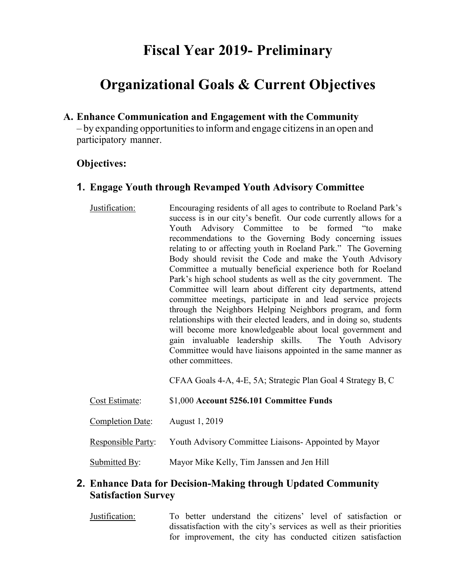# **Fiscal Year 2019- Preliminary**

# **Organizational Goals & Current Objectives**

## **A. Enhance Communication and Engagement with the Community**

– by expanding opportunities to inform and engage citizens in an open and participatory manner.

## **Objectives:**

## **1. Engage Youth through Revamped Youth Advisory Committee**

Justification: Encouraging residents of all ages to contribute to Roeland Park's success is in our city's benefit. Our code currently allows for a Youth Advisory Committee to be formed "to make recommendations to the Governing Body concerning issues relating to or affecting youth in Roeland Park." The Governing Body should revisit the Code and make the Youth Advisory Committee a mutually beneficial experience both for Roeland Park's high school students as well as the city government. The Committee will learn about different city departments, attend committee meetings, participate in and lead service projects through the Neighbors Helping Neighbors program, and form relationships with their elected leaders, and in doing so, students will become more knowledgeable about local government and gain invaluable leadership skills. The Youth Advisory Committee would have liaisons appointed in the same manner as other committees.

CFAA Goals 4-A, 4-E, 5A; Strategic Plan Goal 4 Strategy B, C

| Cost Estimate:          | \$1,000 Account 5256.101 Committee Funds             |
|-------------------------|------------------------------------------------------|
| <b>Completion Date:</b> | August 1, 2019                                       |
| Responsible Party:      | Youth Advisory Committee Liaisons-Appointed by Mayor |
| Submitted By:           | Mayor Mike Kelly, Tim Janssen and Jen Hill           |

# **2. Enhance Data for Decision-Making through Updated Community Satisfaction Survey**

Justification: To better understand the citizens' level of satisfaction or dissatisfaction with the city's services as well as their priorities for improvement, the city has conducted citizen satisfaction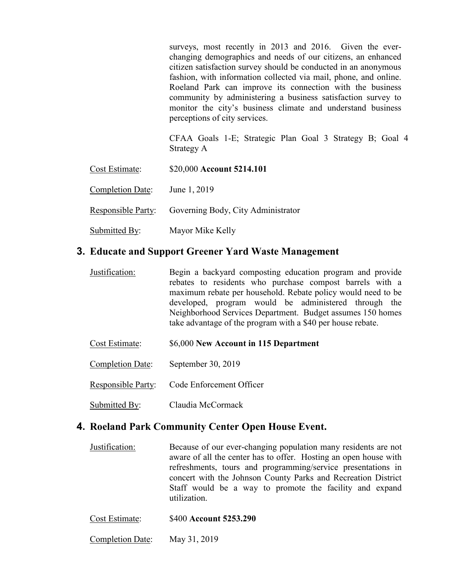surveys, most recently in 2013 and 2016. Given the everchanging demographics and needs of our citizens, an enhanced citizen satisfaction survey should be conducted in an anonymous fashion, with information collected via mail, phone, and online. Roeland Park can improve its connection with the business community by administering a business satisfaction survey to monitor the city's business climate and understand business perceptions of city services.

 CFAA Goals 1-E; Strategic Plan Goal 3 Strategy B; Goal 4 Strategy A

- Cost Estimate: \$20,000 **Account 5214.101**
- Completion Date: June 1, 2019

Responsible Party: Governing Body, City Administrator

Submitted By: Mayor Mike Kelly

#### **3. Educate and Support Greener Yard Waste Management**

- Justification: Begin a backyard composting education program and provide rebates to residents who purchase compost barrels with a maximum rebate per household. Rebate policy would need to be developed, program would be administered through the Neighborhood Services Department. Budget assumes 150 homes take advantage of the program with a \$40 per house rebate.
- Cost Estimate: \$6,000 **New Account in 115 Department**
- Completion Date: September 30, 2019
- Responsible Party: Code Enforcement Officer
- Submitted By: Claudia McCormack

#### **4. Roeland Park Community Center Open House Event.**

- Justification: Because of our ever-changing population many residents are not aware of all the center has to offer. Hosting an open house with refreshments, tours and programming/service presentations in concert with the Johnson County Parks and Recreation District Staff would be a way to promote the facility and expand utilization.
- Cost Estimate: \$400 **Account 5253.290**
- Completion Date: May 31, 2019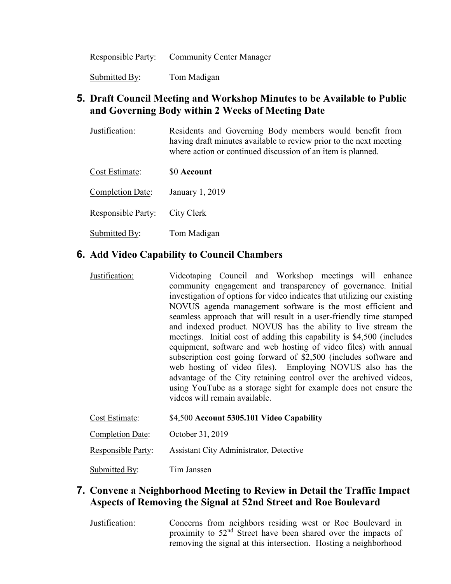Responsible Party: Community Center Manager

Submitted By: Tom Madigan

# **5. Draft Council Meeting and Workshop Minutes to be Available to Public and Governing Body within 2 Weeks of Meeting Date**

| Justification: | Residents and Governing Body members would benefit from            |
|----------------|--------------------------------------------------------------------|
|                | having draft minutes available to review prior to the next meeting |
|                | where action or continued discussion of an item is planned.        |

Cost Estimate: \$0 **Account** 

Completion Date: January 1, 2019

Responsible Party: City Clerk

Submitted By: Tom Madigan

# **6. Add Video Capability to Council Chambers**

Justification: Videotaping Council and Workshop meetings will enhance community engagement and transparency of governance. Initial investigation of options for video indicates that utilizing our existing NOVUS agenda management software is the most efficient and seamless approach that will result in a user-friendly time stamped and indexed product. NOVUS has the ability to live stream the meetings. Initial cost of adding this capability is \$4,500 (includes equipment, software and web hosting of video files) with annual subscription cost going forward of \$2,500 (includes software and web hosting of video files). Employing NOVUS also has the advantage of the City retaining control over the archived videos, using YouTube as a storage sight for example does not ensure the videos will remain available.

| Cost Estimate:     | \$4,500 Account 5305.101 Video Capability |
|--------------------|-------------------------------------------|
| Completion Date:   | October 31, 2019                          |
| Responsible Party: | Assistant City Administrator, Detective   |
| Submitted By:      | Tim Janssen                               |

## **7. Convene a Neighborhood Meeting to Review in Detail the Traffic Impact Aspects of Removing the Signal at 52nd Street and Roe Boulevard**

Justification: Concerns from neighbors residing west or Roe Boulevard in proximity to 52nd Street have been shared over the impacts of removing the signal at this intersection. Hosting a neighborhood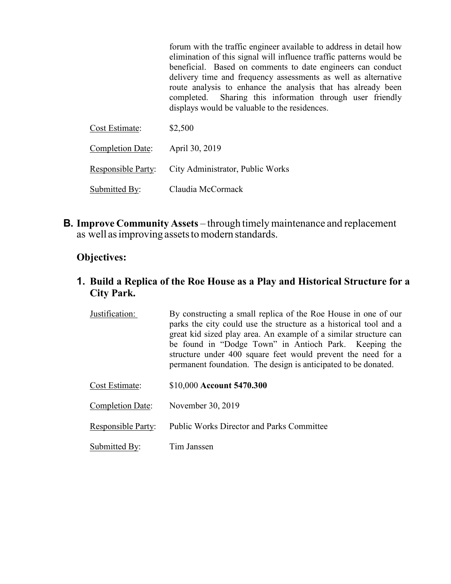forum with the traffic engineer available to address in detail how elimination of this signal will influence traffic patterns would be beneficial. Based on comments to date engineers can conduct delivery time and frequency assessments as well as alternative route analysis to enhance the analysis that has already been completed. Sharing this information through user friendly displays would be valuable to the residences. Cost Estimate: \$2,500 Completion Date: April 30, 2019

Responsible Party: City Administrator, Public Works

Submitted By: Claudia McCormack

**B. Improve Community Assets** – through timely maintenance and replacement as well as improving assets to modern standards.

# **Objectives:**

# **1. Build a Replica of the Roe House as a Play and Historical Structure for a City Park.**

- Justification: By constructing a small replica of the Roe House in one of our parks the city could use the structure as a historical tool and a great kid sized play area. An example of a similar structure can be found in "Dodge Town" in Antioch Park. Keeping the structure under 400 square feet would prevent the need for a permanent foundation. The design is anticipated to be donated.
- Cost Estimate: \$10,000 **Account 5470.300**
- Completion Date: November 30, 2019
- Responsible Party: Public Works Director and Parks Committee
- Submitted By: Tim Janssen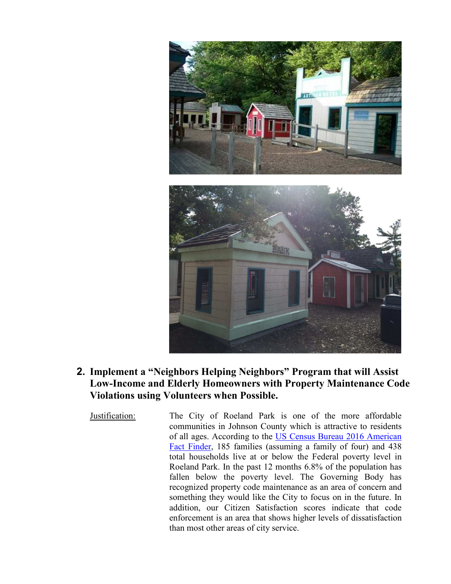

- **2. Implement a "Neighbors Helping Neighbors" Program that will Assist Low-Income and Elderly Homeowners with Property Maintenance Code Violations using Volunteers when Possible.** 
	-

Justification: The City of Roeland Park is one of the more affordable communities in Johnson County which is attractive to residents of all ages. According to the US Census Bureau 2016 American Fact Finder, 185 families (assuming a family of four) and 438 total households live at or below the Federal poverty level in Roeland Park. In the past 12 months 6.8% of the population has fallen below the poverty level. The Governing Body has recognized property code maintenance as an area of concern and something they would like the City to focus on in the future. In addition, our Citizen Satisfaction scores indicate that code enforcement is an area that shows higher levels of dissatisfaction than most other areas of city service.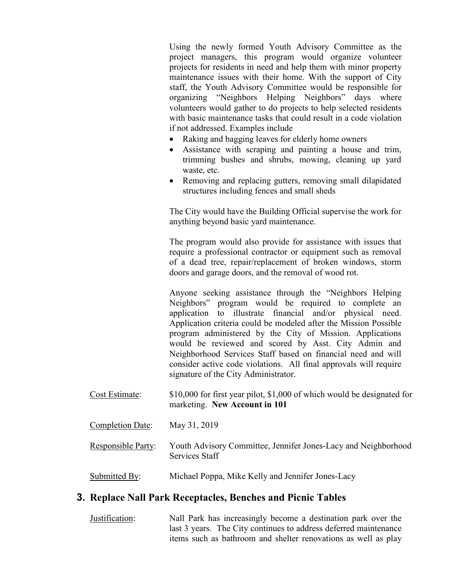Using the newly formed Youth Advisory Committee as the project managers, this program would organize volunteer projects for residents in need and help them with minor property maintenance issues with their home. With the support of City staff, the Youth Advisory Committee would be responsible for organizing "Neighbors Helping Neighbors" days where volunteers would gather to do projects to help selected residents with basic maintenance tasks that could result in a code violation if not addressed. Examples include

- Raking and bagging leaves for elderly home owners
- Assistance with scraping and painting a house and trim, trimming bushes and shrubs, mowing, cleaning up yard waste, etc.
- Removing and replacing gutters, removing small dilapidated structures including fences and small sheds

The City would have the Building Official supervise the work for anything beyond basic yard maintenance.

The program would also provide for assistance with issues that require a professional contractor or equipment such as removal of a dead tree, repair/replacement of broken windows, storm doors and garage doors, and the removal of wood rot.

Anyone seeking assistance through the "Neighbors Helping Neighbors" program would be required to complete an application to illustrate financial and/or physical need. Application criteria could be modeled after the Mission Possible program administered by the City of Mission. Applications would be reviewed and scored by Asst. City Admin and Neighborhood Services Staff based on financial need and will consider active code violations. All final approvals will require signature of the City Administrator.

- Cost Estimate: \$10,000 for first year pilot, \$1,000 of which would be designated for marketing. **New Account in 101**
- Completion Date: May 31, 2019
- Responsible Party: Youth Advisory Committee, Jennifer Jones-Lacy and Neighborhood Services Staff

Submitted By: Michael Poppa, Mike Kelly and Jennifer Jones-Lacy

#### **3. Replace Nall Park Receptacles, Benches and Picnic Tables**

Justification: Nall Park has increasingly become a destination park over the last 3 years. The City continues to address deferred maintenance items such as bathroom and shelter renovations as well as play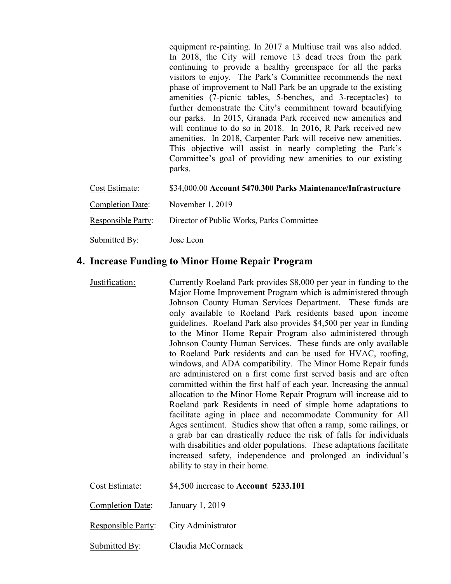equipment re-painting. In 2017 a Multiuse trail was also added. In 2018, the City will remove 13 dead trees from the park continuing to provide a healthy greenspace for all the parks visitors to enjoy. The Park's Committee recommends the next phase of improvement to Nall Park be an upgrade to the existing amenities (7-picnic tables, 5-benches, and 3-receptacles) to further demonstrate the City's commitment toward beautifying our parks. In 2015, Granada Park received new amenities and will continue to do so in 2018. In 2016, R Park received new amenities. In 2018, Carpenter Park will receive new amenities. This objective will assist in nearly completing the Park's Committee's goal of providing new amenities to our existing parks.

| Cost Estimate:          | \$34,000.00 Account 5470.300 Parks Maintenance/Infrastructure |
|-------------------------|---------------------------------------------------------------|
| <b>Completion Date:</b> | November $1, 2019$                                            |
| Responsible Party:      | Director of Public Works, Parks Committee                     |
| Submitted By:           | Jose Leon                                                     |

#### **4. Increase Funding to Minor Home Repair Program**

Justification: Currently Roeland Park provides \$8,000 per year in funding to the Major Home Improvement Program which is administered through Johnson County Human Services Department. These funds are only available to Roeland Park residents based upon income guidelines. Roeland Park also provides \$4,500 per year in funding to the Minor Home Repair Program also administered through Johnson County Human Services. These funds are only available to Roeland Park residents and can be used for HVAC, roofing, windows, and ADA compatibility. The Minor Home Repair funds are administered on a first come first served basis and are often committed within the first half of each year. Increasing the annual allocation to the Minor Home Repair Program will increase aid to Roeland park Residents in need of simple home adaptations to facilitate aging in place and accommodate Community for All Ages sentiment. Studies show that often a ramp, some railings, or a grab bar can drastically reduce the risk of falls for individuals with disabilities and older populations. These adaptations facilitate increased safety, independence and prolonged an individual's ability to stay in their home.

| Cost Estimate:          | \$4,500 increase to Account 5233.101  |
|-------------------------|---------------------------------------|
| <b>Completion Date:</b> | January 1, 2019                       |
|                         | Responsible Party: City Administrator |

Submitted By: Claudia McCormack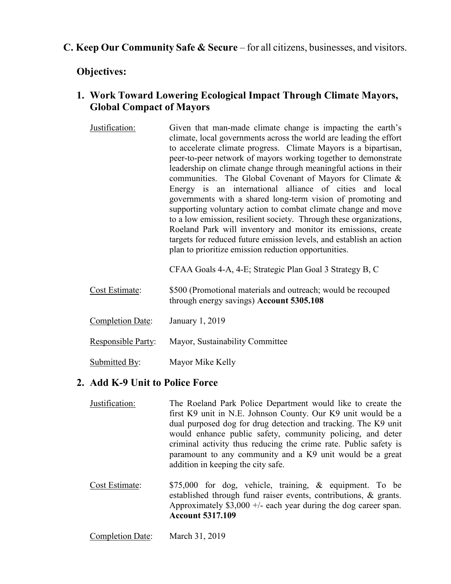# **C. Keep Our Community Safe & Secure** – for all citizens, businesses, and visitors.

**Objectives:** 

# **1. Work Toward Lowering Ecological Impact Through Climate Mayors, Global Compact of Mayors**

Justification: Given that man-made climate change is impacting the earth's climate, local governments across the world are leading the effort to accelerate climate progress. Climate Mayors is a bipartisan, peer-to-peer network of mayors working together to demonstrate leadership on climate change through meaningful actions in their communities. The Global Covenant of Mayors for Climate & Energy is an international alliance of cities and local governments with a shared long-term vision of promoting and supporting voluntary action to combat climate change and move to a low emission, resilient society. Through these organizations, Roeland Park will inventory and monitor its emissions, create targets for reduced future emission levels, and establish an action plan to prioritize emission reduction opportunities.

CFAA Goals 4-A, 4-E; Strategic Plan Goal 3 Strategy B, C

- Cost Estimate: \$500 (Promotional materials and outreach; would be recouped through energy savings) **Account 5305.108**
- Completion Date: January 1, 2019
- Responsible Party: Mayor, Sustainability Committee
- Submitted By: Mayor Mike Kelly

#### **2. Add K-9 Unit to Police Force**

- Justification: The Roeland Park Police Department would like to create the first K9 unit in N.E. Johnson County. Our K9 unit would be a dual purposed dog for drug detection and tracking. The K9 unit would enhance public safety, community policing, and deter criminal activity thus reducing the crime rate. Public safety is paramount to any community and a K9 unit would be a great addition in keeping the city safe.
- Cost Estimate: \$75,000 for dog, vehicle, training, & equipment. To be established through fund raiser events, contributions, & grants. Approximately \$3,000 +/- each year during the dog career span. **Account 5317.109**
- Completion Date: March 31, 2019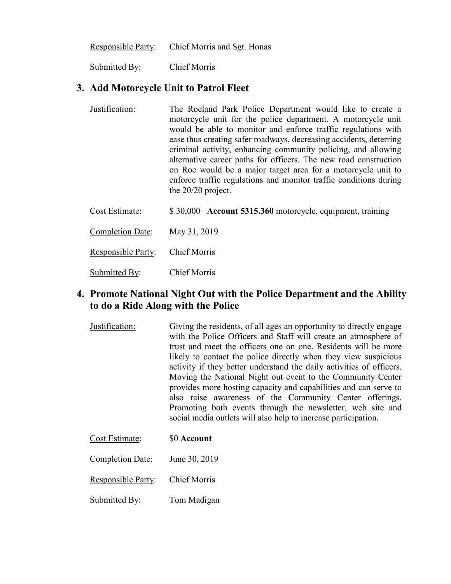|  | Responsible Party: | Chief Morris and Sgt. Honas |
|--|--------------------|-----------------------------|
|--|--------------------|-----------------------------|

Submitted By: Chief Morris

#### **3. Add Motorcycle Unit to Patrol Fleet**

Justification: The Roeland Park Police Department would like to create a motorcycle unit for the police department. A motorcycle unit would be able to monitor and enforce traffic regulations with ease thus creating safer roadways, decreasing accidents, deterring criminal activity, enhancing community policing, and allowing alternative career paths for officers. The new road construction on Roe would be a major target area for a motorcycle unit to enforce traffic regulations and monitor traffic conditions during the 20/20 project.

Cost Estimate: \$ 30,000 **Account 5315.360** motorcycle, equipment, training

Completion Date: May 31, 2019

Responsible Party: Chief Morris

Submitted By: Chief Morris

# **4. Promote National Night Out with the Police Department and the Ability to do a Ride Along with the Police**

Justification: Giving the residents, of all ages an opportunity to directly engage with the Police Officers and Staff will create an atmosphere of trust and meet the officers one on one. Residents will be more likely to contact the police directly when they view suspicious activity if they better understand the daily activities of officers. Moving the National Night out event to the Community Center provides more hosting capacity and capabilities and can serve to also raise awareness of the Community Center offerings. Promoting both events through the newsletter, web site and social media outlets will also help to increase participation.

| Cost Estimate: | \$0 Account |
|----------------|-------------|
|----------------|-------------|

Completion Date: June 30, 2019

Responsible Party: Chief Morris

Submitted By: Tom Madigan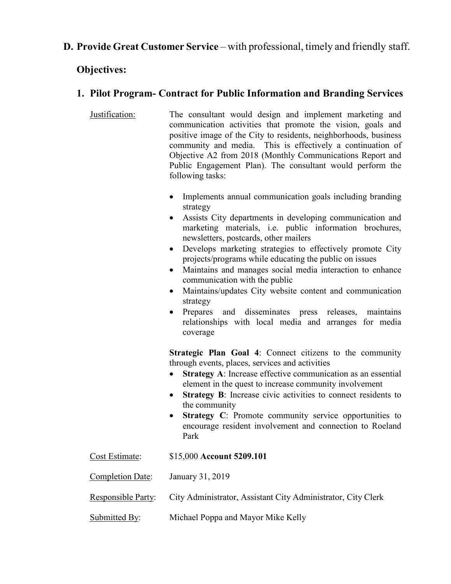# **D. Provide Great Customer Service** – with professional, timely and friendly staff.

#### **Objectives:**

# **1. Pilot Program- Contract for Public Information and Branding Services**

- Justification: The consultant would design and implement marketing and communication activities that promote the vision, goals and positive image of the City to residents, neighborhoods, business community and media. This is effectively a continuation of Objective A2 from 2018 (Monthly Communications Report and Public Engagement Plan). The consultant would perform the following tasks:
	- Implements annual communication goals including branding strategy
	- Assists City departments in developing communication and marketing materials, i.e. public information brochures, newsletters, postcards, other mailers
	- Develops marketing strategies to effectively promote City projects/programs while educating the public on issues
	- Maintains and manages social media interaction to enhance communication with the public
	- Maintains/updates City website content and communication strategy
	- Prepares and disseminates press releases, maintains relationships with local media and arranges for media coverage

**Strategic Plan Goal 4**: Connect citizens to the community through events, places, services and activities

- **Strategy A**: Increase effective communication as an essential element in the quest to increase community involvement
- **Strategy B**: Increase civic activities to connect residents to the community
- **Strategy C**: Promote community service opportunities to encourage resident involvement and connection to Roeland Park

Cost Estimate: \$15,000 **Account 5209.101** 

Completion Date: January 31, 2019

Responsible Party: City Administrator, Assistant City Administrator, City Clerk

Submitted By: Michael Poppa and Mayor Mike Kelly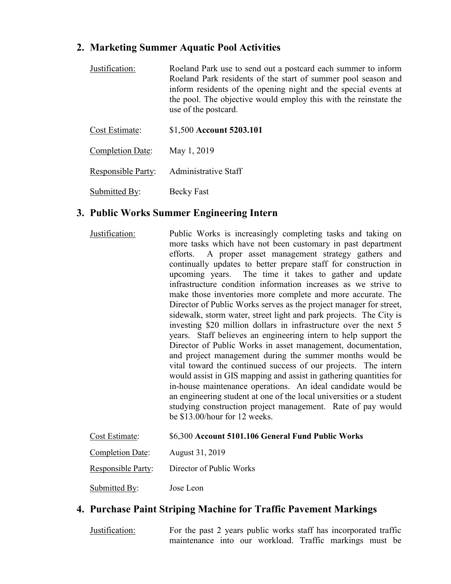# **2. Marketing Summer Aquatic Pool Activities**

| Justification:          | Roeland Park use to send out a postcard each summer to inform<br>Roeland Park residents of the start of summer pool season and<br>inform residents of the opening night and the special events at<br>the pool. The objective would employ this with the reinstate the<br>use of the postcard. |
|-------------------------|-----------------------------------------------------------------------------------------------------------------------------------------------------------------------------------------------------------------------------------------------------------------------------------------------|
| Cost Estimate:          | \$1,500 Account 5203.101                                                                                                                                                                                                                                                                      |
| <b>Completion Date:</b> | May 1, 2019                                                                                                                                                                                                                                                                                   |

Responsible Party: Administrative Staff

Submitted By: Becky Fast

## **3. Public Works Summer Engineering Intern**

| Justification: | Public Works is increasingly completing tasks and taking on          |
|----------------|----------------------------------------------------------------------|
|                | more tasks which have not been customary in past department          |
|                | efforts. A proper asset management strategy gathers and              |
|                | continually updates to better prepare staff for construction in      |
|                | upcoming years. The time it takes to gather and update               |
|                | infrastructure condition information increases as we strive to       |
|                | make those inventories more complete and more accurate. The          |
|                | Director of Public Works serves as the project manager for street,   |
|                | sidewalk, storm water, street light and park projects. The City is   |
|                | investing \$20 million dollars in infrastructure over the next 5     |
|                | years. Staff believes an engineering intern to help support the      |
|                | Director of Public Works in asset management, documentation,         |
|                | and project management during the summer months would be             |
|                | vital toward the continued success of our projects. The intern       |
|                | would assist in GIS mapping and assist in gathering quantities for   |
|                | in-house maintenance operations. An ideal candidate would be         |
|                | an engineering student at one of the local universities or a student |
|                | studying construction project management. Rate of pay would          |
|                | be \$13.00/hour for 12 weeks.                                        |
|                |                                                                      |

| Cost Estimate:     | \$6,300 Account 5101.106 General Fund Public Works |
|--------------------|----------------------------------------------------|
| Completion Date:   | August 31, 2019                                    |
| Responsible Party: | Director of Public Works                           |
| Submitted By:      | Jose Leon                                          |

# **4. Purchase Paint Striping Machine for Traffic Pavement Markings**

Justification: For the past 2 years public works staff has incorporated traffic maintenance into our workload. Traffic markings must be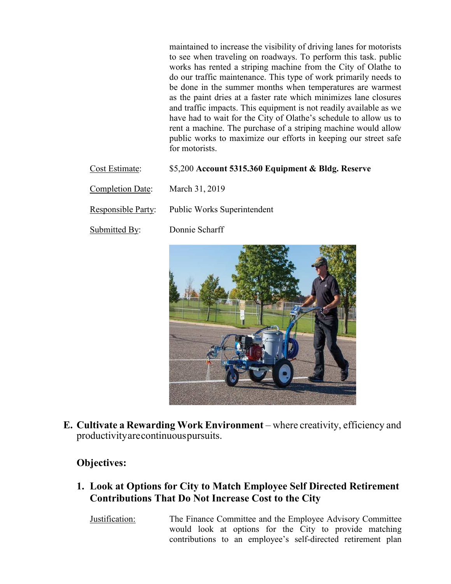maintained to increase the visibility of driving lanes for motorists to see when traveling on roadways. To perform this task. public works has rented a striping machine from the City of Olathe to do our traffic maintenance. This type of work primarily needs to be done in the summer months when temperatures are warmest as the paint dries at a faster rate which minimizes lane closures and traffic impacts. This equipment is not readily available as we have had to wait for the City of Olathe's schedule to allow us to rent a machine. The purchase of a striping machine would allow public works to maximize our efforts in keeping our street safe for motorists.

| Cost Estimate:     | \$5,200 Account 5315.360 Equipment & Bldg. Reserve |
|--------------------|----------------------------------------------------|
| Completion Date:   | March 31, 2019                                     |
| Responsible Party: | <b>Public Works Superintendent</b>                 |
| Submitted By:      | Donnie Scharff                                     |



**E. Cultivate a Rewarding Work Environment** – where creativity, efficiency and productivity are continuous pursuits.

# **Objectives:**

**1. Look at Options for City to Match Employee Self Directed Retirement Contributions That Do Not Increase Cost to the City** 

Justification: The Finance Committee and the Employee Advisory Committee would look at options for the City to provide matching contributions to an employee's self-directed retirement plan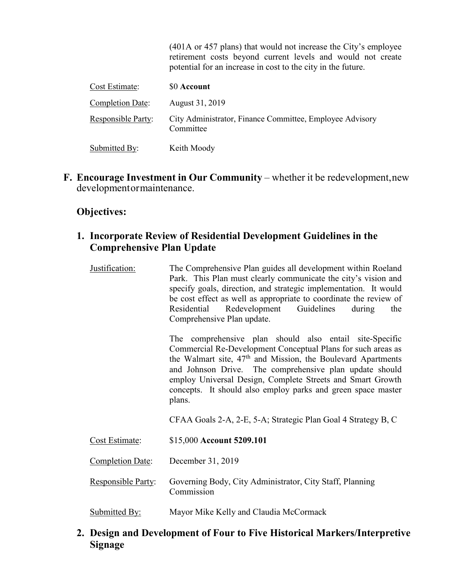|                         | (401A or 457 plans) that would not increase the City's employee<br>retirement costs beyond current levels and would not create<br>potential for an increase in cost to the city in the future. |
|-------------------------|------------------------------------------------------------------------------------------------------------------------------------------------------------------------------------------------|
| Cost Estimate:          | <b>SO Account</b>                                                                                                                                                                              |
| <b>Completion Date:</b> | August 31, 2019                                                                                                                                                                                |
| Responsible Party:      | City Administrator, Finance Committee, Employee Advisory<br>Committee                                                                                                                          |
| Submitted By:           | Keith Moody                                                                                                                                                                                    |

**F. Encourage Investment in Our Community – whether it be redevelopment, new** development or maintenance.

#### **Objectives:**

## **1. Incorporate Review of Residential Development Guidelines in the Comprehensive Plan Update**

| Justification: | The Comprehensive Plan guides all development within Roeland<br>Park. This Plan must clearly communicate the city's vision and<br>specify goals, direction, and strategic implementation. It would<br>be cost effect as well as appropriate to coordinate the review of<br>Residential Redevelopment Guidelines<br>during<br>the<br>Comprehensive Plan update. |
|----------------|----------------------------------------------------------------------------------------------------------------------------------------------------------------------------------------------------------------------------------------------------------------------------------------------------------------------------------------------------------------|
|                | The comprehensive plan should also entail site-Specific                                                                                                                                                                                                                                                                                                        |

Commercial Re-Development Conceptual Plans for such areas as the Walmart site,  $47<sup>th</sup>$  and Mission, the Boulevard Apartments and Johnson Drive. The comprehensive plan update should employ Universal Design, Complete Streets and Smart Growth concepts. It should also employ parks and green space master plans.

CFAA Goals 2-A, 2-E, 5-A; Strategic Plan Goal 4 Strategy B, C

- Cost Estimate: \$15,000 **Account 5209.101**
- Completion Date: December 31, 2019
- Responsible Party: Governing Body, City Administrator, City Staff, Planning Commission
- Submitted By: Mayor Mike Kelly and Claudia McCormack

# **2. Design and Development of Four to Five Historical Markers/Interpretive Signage**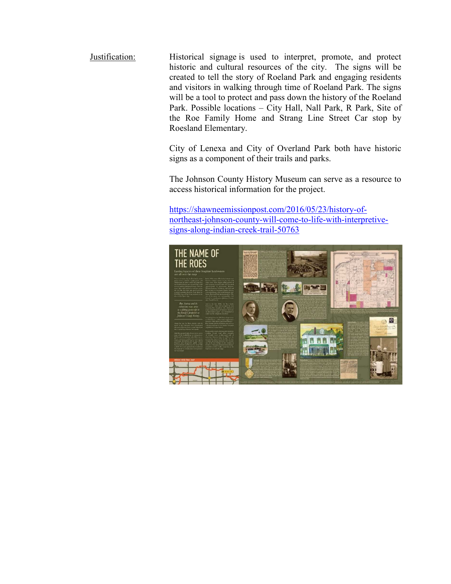Justification: Historical signage is used to interpret, promote, and protect historic and cultural resources of the city. The signs will be created to tell the story of Roeland Park and engaging residents and visitors in walking through time of Roeland Park. The signs will be a tool to protect and pass down the history of the Roeland Park. Possible locations – City Hall, Nall Park, R Park, Site of the Roe Family Home and Strang Line Street Car stop by Roesland Elementary.

> City of Lenexa and City of Overland Park both have historic signs as a component of their trails and parks.

> The Johnson County History Museum can serve as a resource to access historical information for the project.

https://shawneemissionpost.com/2016/05/23/history-ofnortheast-johnson-county-will-come-to-life-with-interpretivesigns-along-indian-creek-trail-50763

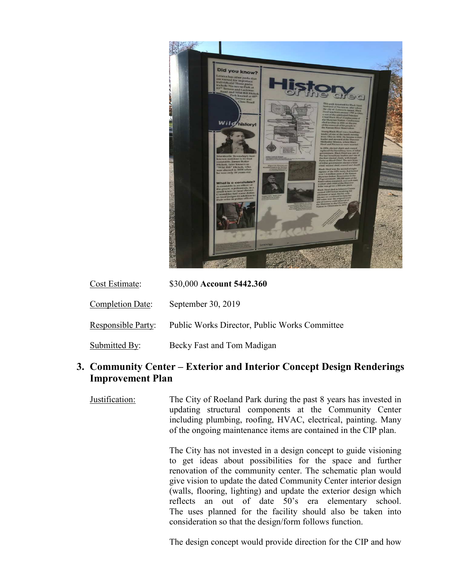

| Cost Estimate:            | \$30,000 Account 5442.360                            |
|---------------------------|------------------------------------------------------|
| Completion Date:          | September 30, 2019                                   |
| <b>Responsible Party:</b> | <b>Public Works Director, Public Works Committee</b> |

Submitted By: Becky Fast and Tom Madigan

# **3. Community Center – Exterior and Interior Concept Design Renderings Improvement Plan**

Justification: The City of Roeland Park during the past 8 years has invested in updating structural components at the Community Center including plumbing, roofing, HVAC, electrical, painting. Many of the ongoing maintenance items are contained in the CIP plan.

> The City has not invested in a design concept to guide visioning to get ideas about possibilities for the space and further renovation of the community center. The schematic plan would give vision to update the dated Community Center interior design (walls, flooring, lighting) and update the exterior design which reflects an out of date 50's era elementary school. The uses planned for the facility should also be taken into consideration so that the design/form follows function.

> The design concept would provide direction for the CIP and how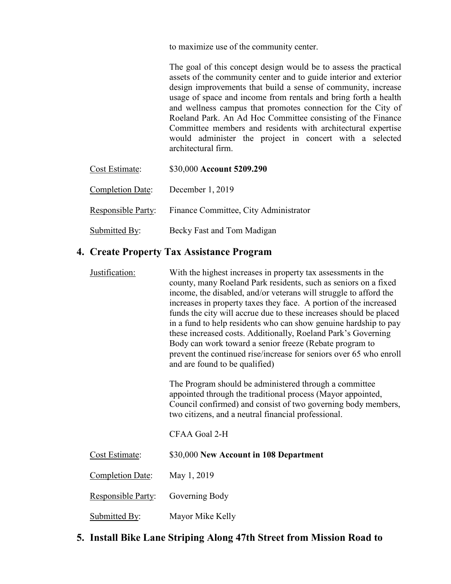to maximize use of the community center.

The goal of this concept design would be to assess the practical assets of the community center and to guide interior and exterior design improvements that build a sense of community, increase usage of space and income from rentals and bring forth a health and wellness campus that promotes connection for the City of Roeland Park. An Ad Hoc Committee consisting of the Finance Committee members and residents with architectural expertise would administer the project in concert with a selected architectural firm.

| Cost Estimate:     | \$30,000 Account 5209.290             |
|--------------------|---------------------------------------|
| Completion Date:   | December 1, 2019                      |
| Responsible Party: | Finance Committee, City Administrator |
| Submitted By:      | Becky Fast and Tom Madigan            |

#### **4. Create Property Tax Assistance Program**

Justification: With the highest increases in property tax assessments in the county, many Roeland Park residents, such as seniors on a fixed income, the disabled, and/or veterans will struggle to afford the increases in property taxes they face. A portion of the increased funds the city will accrue due to these increases should be placed in a fund to help residents who can show genuine hardship to pay these increased costs. Additionally, Roeland Park's Governing Body can work toward a senior freeze (Rebate program to prevent the continued rise/increase for seniors over 65 who enroll and are found to be qualified) The Program should be administered through a committee appointed through the traditional process (Mayor appointed, Council confirmed) and consist of two governing body members, two citizens, and a neutral financial professional. CFAA Goal 2-H Cost Estimate: \$30,000 **New Account in 108 Department**  Completion Date: May 1, 2019 Responsible Party: Governing Body Submitted By: Mayor Mike Kelly

## **5. Install Bike Lane Striping Along 47th Street from Mission Road to**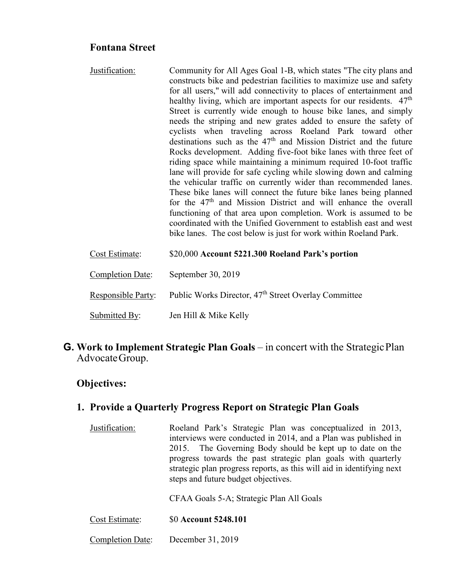## **Fontana Street**

Justification: Community for All Ages Goal 1-B, which states "The city plans and constructs bike and pedestrian facilities to maximize use and safety for all users," will add connectivity to places of entertainment and healthy living, which are important aspects for our residents. 47<sup>th</sup> Street is currently wide enough to house bike lanes, and simply needs the striping and new grates added to ensure the safety of cyclists when traveling across Roeland Park toward other destinations such as the  $47<sup>th</sup>$  and Mission District and the future Rocks development. Adding five-foot bike lanes with three feet of riding space while maintaining a minimum required 10-foot traffic lane will provide for safe cycling while slowing down and calming the vehicular traffic on currently wider than recommended lanes. These bike lanes will connect the future bike lanes being planned for the  $47<sup>th</sup>$  and Mission District and will enhance the overall functioning of that area upon completion. Work is assumed to be coordinated with the Unified Government to establish east and west bike lanes. The cost below is just for work within Roeland Park.

| Cost Estimate:            | \$20,000 Account 5221.300 Roeland Park's portion                 |
|---------------------------|------------------------------------------------------------------|
| <b>Completion Date:</b>   | September 30, 2019                                               |
| <b>Responsible Party:</b> | Public Works Director, 47 <sup>th</sup> Street Overlay Committee |
| Submitted By:             | Jen Hill & Mike Kelly                                            |

## **G. Work to Implement Strategic Plan Goals** – in concert with the Strategic Plan Advocate Group.

#### **Objectives:**

#### **1. Provide a Quarterly Progress Report on Strategic Plan Goals**

Justification: Roeland Park's Strategic Plan was conceptualized in 2013, interviews were conducted in 2014, and a Plan was published in 2015. The Governing Body should be kept up to date on the progress towards the past strategic plan goals with quarterly strategic plan progress reports, as this will aid in identifying next steps and future budget objectives.

CFAA Goals 5-A; Strategic Plan All Goals

- Cost Estimate: \$0 **Account 5248.101**
- Completion Date: December 31, 2019